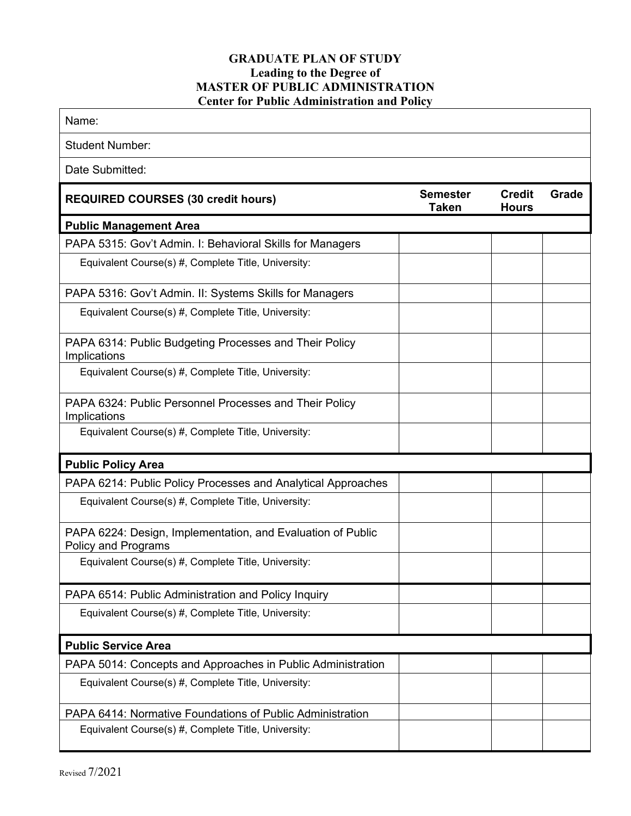## **GRADUATE PLAN OF STUDY Leading to the Degree of MASTER OF PUBLIC ADMINISTRATION Center for Public Administration and Policy**

| Name:                                                                              |                                 |                               |              |
|------------------------------------------------------------------------------------|---------------------------------|-------------------------------|--------------|
| <b>Student Number:</b>                                                             |                                 |                               |              |
| Date Submitted:                                                                    |                                 |                               |              |
| <b>REQUIRED COURSES (30 credit hours)</b>                                          | <b>Semester</b><br><b>Taken</b> | <b>Credit</b><br><b>Hours</b> | <b>Grade</b> |
| <b>Public Management Area</b>                                                      |                                 |                               |              |
| PAPA 5315: Gov't Admin. I: Behavioral Skills for Managers                          |                                 |                               |              |
| Equivalent Course(s) #, Complete Title, University:                                |                                 |                               |              |
| PAPA 5316: Gov't Admin. II: Systems Skills for Managers                            |                                 |                               |              |
| Equivalent Course(s) #, Complete Title, University:                                |                                 |                               |              |
| PAPA 6314: Public Budgeting Processes and Their Policy<br>Implications             |                                 |                               |              |
| Equivalent Course(s) #, Complete Title, University:                                |                                 |                               |              |
| PAPA 6324: Public Personnel Processes and Their Policy<br>Implications             |                                 |                               |              |
| Equivalent Course(s) #, Complete Title, University:                                |                                 |                               |              |
| <b>Public Policy Area</b>                                                          |                                 |                               |              |
| PAPA 6214: Public Policy Processes and Analytical Approaches                       |                                 |                               |              |
| Equivalent Course(s) #, Complete Title, University:                                |                                 |                               |              |
| PAPA 6224: Design, Implementation, and Evaluation of Public<br>Policy and Programs |                                 |                               |              |
| Equivalent Course(s) #, Complete Title, University:                                |                                 |                               |              |
| PAPA 6514: Public Administration and Policy Inquiry                                |                                 |                               |              |
| Equivalent Course(s) #, Complete Title, University:                                |                                 |                               |              |
| <b>Public Service Area</b>                                                         |                                 |                               |              |
| PAPA 5014: Concepts and Approaches in Public Administration                        |                                 |                               |              |
| Equivalent Course(s) #, Complete Title, University:                                |                                 |                               |              |
| PAPA 6414: Normative Foundations of Public Administration                          |                                 |                               |              |
| Equivalent Course(s) #, Complete Title, University:                                |                                 |                               |              |